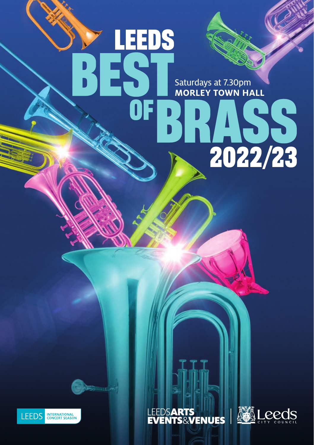Saturdays at 7.30pm **MORLEY TOWN HALL**

H

2022/23

**LEEDS** 





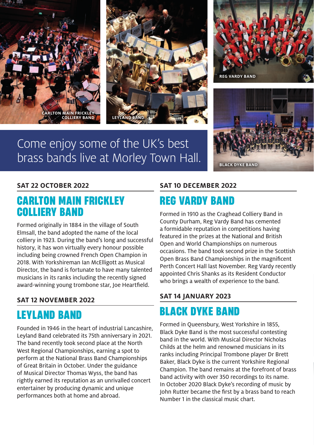

# Come enjoy some of the UK's best brass bands live at Morley Town Hall.





### **SAT 22 OCTOBER 2022**

### **CARLTON MAIN FRICKLEY COLLIERY BAND**

Formed originally in 1884 in the village of South Elmsall, the band adopted the name of the local colliery in 1923. During the band's long and successful history, it has won virtually every honour possible including being crowned French Open Champion in 2018. With Yorkshireman Ian McElligott as Musical Director, the band is fortunate to have many talented musicians in its ranks including the recently signed award-winning young trombone star, Joe Heartfield.

### **SAT 12 NOVEMBER 2022**

### **LEYLAND BAND**

Founded in 1946 in the heart of industrial Lancashire, Leyland Band celebrated its 75th anniversary in 2021. The band recently took second place at the North West Regional Championships, earning a spot to perform at the National Brass Band Championships of Great Britain in October. Under the guidance of Musical Director Thomas Wyss, the band has rightly earned its reputation as an unrivalled concert entertainer by producing dynamic and unique performances both at home and abroad.

### **SAT 10 DECEMBER 2022**

## **REG VARDY BAND**

Formed in 1910 as the Craghead Colliery Band in County Durham, Reg Vardy Band has cemented a formidable reputation in competitions having featured in the prizes at the National and British Open and World Championships on numerous occasions. The band took second prize in the Scottish Open Brass Band Championships in the magnificent Perth Concert Hall last November. Reg Vardy recently appointed Chris Shanks as its Resident Conductor who brings a wealth of experience to the band.

### **SAT 14 JANUARY 2023**

# **BLACK DYKE BAND**

Formed in Queensbury, West Yorkshire in 1855, Black Dyke Band is the most successful contesting band in the world. With Musical Director Nicholas Childs at the helm and renowned musicians in its ranks including Principal Trombone player Dr Brett Baker, Black Dyke is the current Yorkshire Regional Champion. The band remains at the forefront of brass band activity with over 350 recordings to its name. In October 2020 Black Dyke's recording of music by John Rutter became the first by a brass band to reach Number 1 in the classical music chart.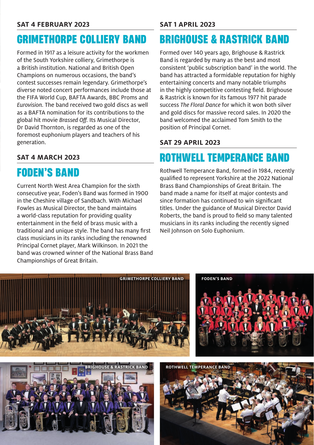### **SAT 4 FEBRUARY 2023**

# **GRIMETHORPE COLLIERY BAND**

Formed in 1917 as a leisure activity for the workmen of the South Yorkshire colliery, Grimethorpe is a British institution. National and British Open Champions on numerous occasions, the band's contest successes remain legendary. Grimethorpe's diverse noted concert performances include those at the FIFA World Cup, BAFTA Awards, BBC Proms and *Eurovision.* The band received two gold discs as well as a BAFTA nomination for its contributions to the global hit movie *Brassed Off.* Its Musical Director, Dr David Thornton, is regarded as one of the foremost euphonium players and teachers of his generation.

### **SAT 4 MARCH 2023**

# **FODEN'S BAND**

Current North West Area Champion for the sixth consecutive year, Foden's Band was formed in 1900 in the Cheshire village of Sandbach. With Michael Fowles as Musical Director, the band maintains a world-class reputation for providing quality entertainment in the field of brass music with a traditional and unique style. The band has many first class musicians in its ranks including the renowned Principal Cornet player, Mark Wilkinson. In 2021 the band was crowned winner of the National Brass Band Championships of Great Britain.

### **SAT 1 APRIL 2023**

## **BRIGHOUSE & RASTRICK BAND**

Formed over 140 years ago, Brighouse & Rastrick Band is regarded by many as the best and most consistent 'public subscription band' in the world. The band has attracted a formidable reputation for highly entertaining concerts and many notable triumphs in the highly competitive contesting field. Brighouse & Rastrick is known for its famous 1977 hit parade success *The Floral Dance* for which it won both silver and gold discs for massive record sales. In 2020 the band welcomed the acclaimed Tom Smith to the position of Principal Cornet.

### **SAT 29 APRIL 2023**

## **ROTHWELL TEMPERANCE BAND**

Rothwell Temperance Band, formed in 1984, recently qualified to represent Yorkshire at the 2022 National Brass Band Championships of Great Britain. The band made a name for itself at major contests and since formation has continued to win significant titles. Under the guidance of Musical Director David Roberts, the band is proud to field so many talented musicians in its ranks including the recently signed Neil Johnson on Solo Euphonium.